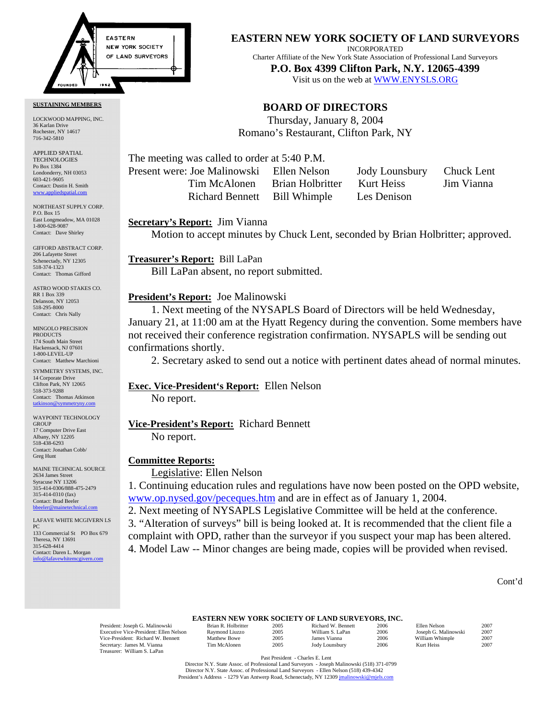

#### **SUSTAINING MEMBERS**

LOCKWOOD MAPPING, INC. 36 Karlan Drive Rochester, NY 14617 716-342-5810

APPLIED SPATIAL **TECHNOLOGIES** Po Box 1384 Londonderry, NH 03053 603-421-9605 Contact: Dustin H. Smith <www.appliedspatial.com>

NORTHEAST SUPPLY CORP. P.O. Box 15 East Longmeadow, MA 01028 1-800-628-9087 Contact: Dave Shirley

GIFFORD ABSTRACT CORP. 206 Lafayette Street Schenectady, NY 12305 518-374-1323 Contact: Thomas Gifford

ASTRO WOOD STAKES CO. RR 1 Box 339 Delanson, NY 12053 518-295-8000 Contact: Chris Nally

MINGOLO PRECISION PRODUCTS 174 South Main Street Hackensack, NJ 07601 1-800-LEVEL-UP Contact: Matthew Marchioni

SYMMETRY SYSTEMS, INC. 14 Corporate Drive Clifton Park, NY 12065 518-373-9288 Contact: Thomas Atkinson [tatkinson@symmetryny.com](mailto:tatkinson@symmetryny.com)

WAYPOINT TECHNOLOGY GROUP 17 Computer Drive East Albany, NY 12205 518-438-6293 Contact: Jonathan Cobb/ Greg Hunt

MAINE TECHNICAL SOURCE 2634 James Street Syracuse NY 13206 315-414-0306/888-475-2479 315-414-0310 (fax) Contact: Brad Beeler bbeeler@

LAFAVE WHITE MCGIVERN LS PC 133 Commercial St PO Box 679 Theresa, NY 13691 315-628-4414 Contact: Daren L. Morgan [info@lafavewhitemcgivern.com](MAILTO:info@lafavewhitemcgivern.com)

#### **EASTERN NEW YORK SOCIETY OF LAND SURVEYORS**

INCORPORATED

Charter Affiliate of the New York State Association of Professional Land Surveyors **P.O. Box 4399 Clifton Park, N.Y. 12065-4399**  Visit us on the web at<WWW.ENYSLS.ORG>

## **BOARD OF DIRECTORS**

Thursday, January 8, 2004 Romano's Restaurant, Clifton Park, NY

The meeting was called to order at 5:40 P.M. Present were: Joe Malinowski Ellen Nelson Jody Lounsbury Chuck Lent

> Tim McAlonen Brian Holbritter Kurt Heiss Jim Vianna Richard Bennett Bill Whimple Les Denison

#### **Secretary's Report:** Jim Vianna

Motion to accept minutes by Chuck Lent, seconded by Brian Holbritter; approved.

**Treasurer's Report:** Bill LaPan Bill LaPan absent, no report submitted.

## **President's Report:** Joe Malinowski

1. Next meeting of the NYSAPLS Board of Directors will be held Wednesday, January 21, at 11:00 am at the Hyatt Regency during the convention. Some members have not received their conference registration confirmation. NYSAPLS will be sending out confirmations shortly.

2. Secretary asked to send out a notice with pertinent dates ahead of normal minutes.

# **Exec. Vice-President's Report:** Ellen Nelson

No report.

# **Vice-President's Report:** Richard Bennett

No report.

## **Committee Reports:**

Legislative: Ellen Nelson

1. Continuing education rules and regulations have now been posted on the OPD website, <www.op.nysed.gov/peceques.htm>and are in effect as of January 1, 2004.

2. Next meeting of NYSAPLS Legislative Committee will be held at the conference.

3. "Alteration of surveys" bill is being looked at. It is recommended that the client file a complaint with OPD, rather than the surveyor if you suspect your map has been altered. 4. Model Law -- Minor changes are being made, copies will be provided when revised.

Cont'd

# **EASTERN NEW YORK SOCIETY OF LAND SURVEYORS, INC.**<br>Brian R. Holbritter 2005 Richard W. Bennett 2006

 President: Joseph G. Malinowski Brian R. Holbritter 2005 Richard W. Bennett 2006 Ellen Nelson 2007 Executive Vice-President: Ellen Nelson Raymond Liuzzo 2005 William S. LaPan 2006 Joseph G. Malinowski 2007<br>1990 Vice-President: Richard W. Bennett Matthew Bowe 2005 James Vianna 2006 William Whimple Vice-President: Richard W. Bennett Matthew Bowe 2005 James Vianna 2006 William Whimple 2007<br>Secretary: James M. Vianna Tim McAlonen 2005 Jody Lounsbury 2006 Kurt Heiss 2007 Secretary: James M. Vianna Treasurer: William S. LaPan

| Brian R. Holbritte |
|--------------------|
| Raymond Liuzzo     |
| Matthew Bowe       |
| Tim McAlonen       |

Past President - Charles E. Lent

 Director N.Y. State Assoc. of Professional Land Surveyors - Joseph Malinowski (518) 371-0799 Director N.Y. State Assoc. of Professional Land Surveyors - Ellen Nelson (518) 439-4342 President's Address - 1279 Van Antwerp Road, Schenectady, NY 12309 [jmalinowski@mjels.com](MAILTO:jmalinowski@mjels.com)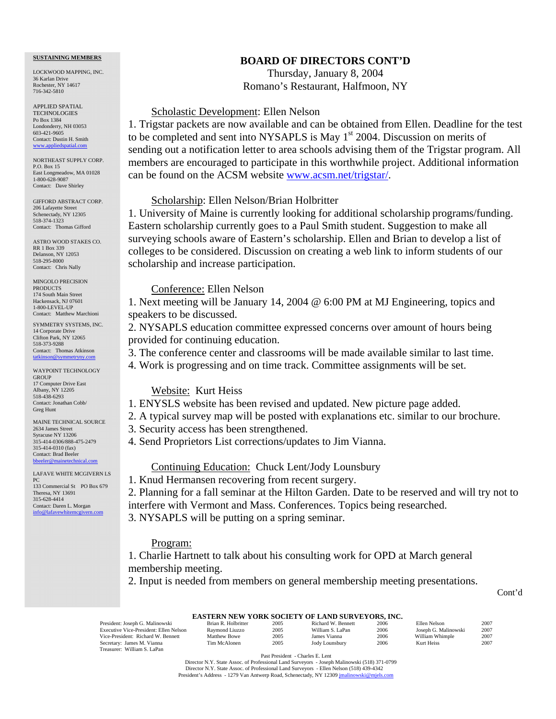#### **SUSTAINING MEMBERS**

LOCKWOOD MAPPING, INC. 36 Karlan Drive Rochester, NY 14617 716-342-5810

APPLIED SPATIAL **TECHNOLOGIES** Po Box 1384 Londonderry, NH 03053 603-421-9605 Contact: Dustin H. Smith <www.appliedspatial.com>

NORTHEAST SUPPLY CORP. P.O. Box 15 East Longmeadow, MA 01028 1-800-628-9087 Contact: Dave Shirley

GIFFORD ABSTRACT CORP. 206 Lafayette Street Schenectady, NY 12305 518-374-1323 Contact: Thomas Gifford

ASTRO WOOD STAKES CO. RR 1 Box 339 Delanson, NY 12053 518-295-8000 Contact: Chris Nally

MINGOLO PRECISION PRODUCTS 174 South Main Street Hackensack, NJ 07601 1-800-LEVEL-UP Contact: Matthew Marchioni

SYMMETRY SYSTEMS, INC. 14 Corporate Drive Clifton Park, NY 12065 518-373-9288 Contact: Thomas Atkinson

[tatkinson@symmetryny.com](mailto:tatkinson@symmetryny.com) WAYPOINT TECHNOLOGY

GROUP 17 Computer Drive East Albany, NY 12205 518-438-6293 Contact: Jonathan Cobb/ Greg Hunt

MAINE TECHNICAL SOURCE 2634 James Street Syracuse NY 13206 315-414-0306/888-475-2479 315-414-0310 (fax) Contact: Brad Beeler [bbeeler@mainetechnical.com](MAILTO:bbeeler@mainetechnical.com)

LAFAVE WHITE MCGIVERN LS PC 133 Commercial St PO Box 679 Theresa, NY 13691 315-628-4414 Contact: Daren L. Morgan [info@lafavewhitemcgivern.com](MAILTO:info@lafavewhitemcgivern.com)

# **BOARD OF DIRECTORS CONT'D**

Thursday, January 8, 2004 Romano's Restaurant, Halfmoon, NY

# Scholastic Development: Ellen Nelson

1. Trigstar packets are now available and can be obtained from Ellen. Deadline for the test to be completed and sent into NYSAPLS is May  $1<sup>st</sup>$  2004. Discussion on merits of sending out a notification letter to area schools advising them of the Trigstar program. All members are encouraged to participate in this worthwhile project. Additional information can be found on the ACSM website [www.acsm.net/trigstar/.](www.acsm.net/trigstar/) 

#### Scholarship: Ellen Nelson/Brian Holbritter

1. University of Maine is currently looking for additional scholarship programs/funding. Eastern scholarship currently goes to a Paul Smith student. Suggestion to make all surveying schools aware of Eastern's scholarship. Ellen and Brian to develop a list of colleges to be considered. Discussion on creating a web link to inform students of our scholarship and increase participation.

## Conference: Ellen Nelson

1. Next meeting will be January 14, 2004 @ 6:00 PM at MJ Engineering, topics and speakers to be discussed.

2. NYSAPLS education committee expressed concerns over amount of hours being provided for continuing education.

3. The conference center and classrooms will be made available similar to last time.

4. Work is progressing and on time track. Committee assignments will be set.

## Website: Kurt Heiss

- 1. ENYSLS website has been revised and updated. New picture page added.
- 2. A typical survey map will be posted with explanations etc. similar to our brochure.
- 3. Security access has been strengthened.
- 4. Send Proprietors List corrections/updates to Jim Vianna.

### Continuing Education: Chuck Lent/Jody Lounsbury

1. Knud Hermansen recovering from recent surgery.

2. Planning for a fall seminar at the Hilton Garden. Date to be reserved and will try not to interfere with Vermont and Mass. Conferences. Topics being researched. 3. NYSAPLS will be putting on a spring seminar.

#### Program:

1. Charlie Hartnett to talk about his consulting work for OPD at March general membership meeting.

2. Input is needed from members on general membership meeting presentations.

Cont'd

#### **EASTERN NEW YORK SOCIETY OF LAND SURVEYORS, INC.**

| President: Joseph G. Malinowski        | Brian R. Holbritter | 2005 | Richard W. Bennett    | 2006 | Ellen Nelson         | 2007 |
|----------------------------------------|---------------------|------|-----------------------|------|----------------------|------|
| Executive Vice-President: Ellen Nelson | Raymond Liuzzo      | 2005 | William S. LaPan      | 2006 | Joseph G. Malinowski | 2007 |
| Vice-President: Richard W. Bennett     | <b>Matthew Bowe</b> | 2005 | James Vianna          | 2006 | William Whimple      | 2007 |
| Secretary: James M. Vianna             | Tim McAlonen        | 2005 | <b>Jody Lounsbury</b> | 2006 | Kurt Heiss           | 2007 |
| Treasurer: William S. LaPan            |                     |      |                       |      |                      |      |

 Past President - Charles E. Lent Director N.Y. State Assoc. of Professional Land Surveyors - Joseph Malinowski (518) 371-0799 Director N.Y. State Assoc. of Professional Land Surveyors - Ellen Nelson (518) 439-4342 President's Address - 1279 Van Antwerp Road, Schenectady, NY 12309 jmalinowski@mjels.